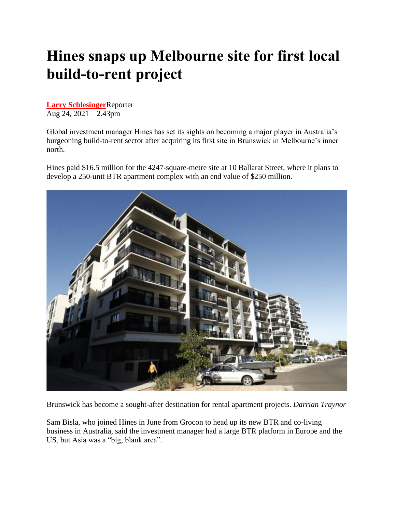## **Hines snaps up Melbourne site for first local build-to-rent project**

**[Larry Schlesinger](https://www.afr.com/by/larry-schlesinger-14476t)**Reporter Aug 24, 2021 – 2.43pm

Global investment manager Hines has set its sights on becoming a major player in Australia's burgeoning build-to-rent sector after acquiring its first site in Brunswick in Melbourne's inner north.

Hines paid \$16.5 million for the 4247-square-metre site at 10 Ballarat Street, where it plans to develop a 250-unit BTR apartment complex with an end value of \$250 million.



Brunswick has become a sought-after destination for rental apartment projects. *Darrian Traynor*

Sam Bisla, who joined Hines in June from Grocon to head up its new BTR and co-living business in Australia, said the investment manager had a large BTR platform in Europe and the US, but Asia was a "big, blank area".